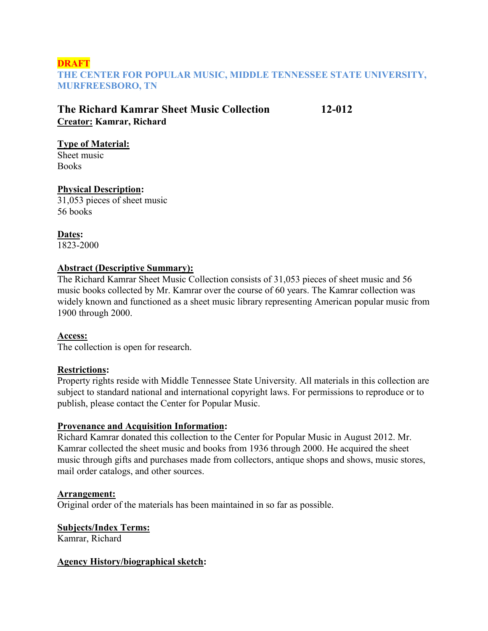## **DRAFT THE CENTER FOR POPULAR MUSIC, MIDDLE TENNESSEE STATE UNIVERSITY, MURFREESBORO, TN**

# **The Richard Kamrar Sheet Music Collection 12-012 Creator: Kamrar, Richard**

### **Type of Material:**

Sheet music **Books** 

## **Physical Description:**

31,053 pieces of sheet music 56 books

**Dates:** 1823-2000

## **Abstract (Descriptive Summary):**

The Richard Kamrar Sheet Music Collection consists of 31,053 pieces of sheet music and 56 music books collected by Mr. Kamrar over the course of 60 years. The Kamrar collection was widely known and functioned as a sheet music library representing American popular music from 1900 through 2000.

# **Access:**

The collection is open for research.

# **Restrictions:**

Property rights reside with Middle Tennessee State University. All materials in this collection are subject to standard national and international copyright laws. For permissions to reproduce or to publish, please contact the Center for Popular Music.

### **Provenance and Acquisition Information:**

Richard Kamrar donated this collection to the Center for Popular Music in August 2012. Mr. Kamrar collected the sheet music and books from 1936 through 2000. He acquired the sheet music through gifts and purchases made from collectors, antique shops and shows, music stores, mail order catalogs, and other sources.

# **Arrangement:**

Original order of the materials has been maintained in so far as possible.

# **Subjects/Index Terms:**

Kamrar, Richard

### **Agency History/biographical sketch:**